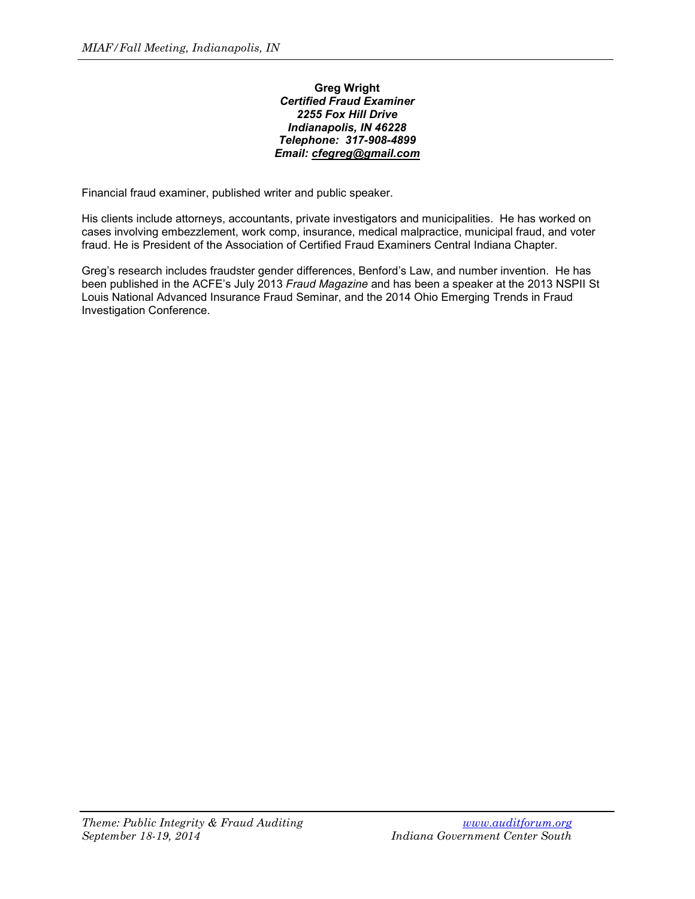## **Greg Wright** *Certified Fraud Examiner 2255 Fox Hill Drive Indianapolis, IN 46228 Telephone: 317-908-4899 Email: [cfegreg@gmail.com](mailto:cfegreg@gmail.com)*

Financial fraud examiner, published writer and public speaker.

His clients include attorneys, accountants, private investigators and municipalities. He has worked on cases involving embezzlement, work comp, insurance, medical malpractice, municipal fraud, and voter fraud. He is President of the Association of Certified Fraud Examiners Central Indiana Chapter.

Greg's research includes fraudster gender differences, Benford's Law, and number invention. He has been published in the ACFE's July 2013 *Fraud Magazine* and has been a speaker at the 2013 NSPII St Louis National Advanced Insurance Fraud Seminar, and the 2014 Ohio Emerging Trends in Fraud Investigation Conference.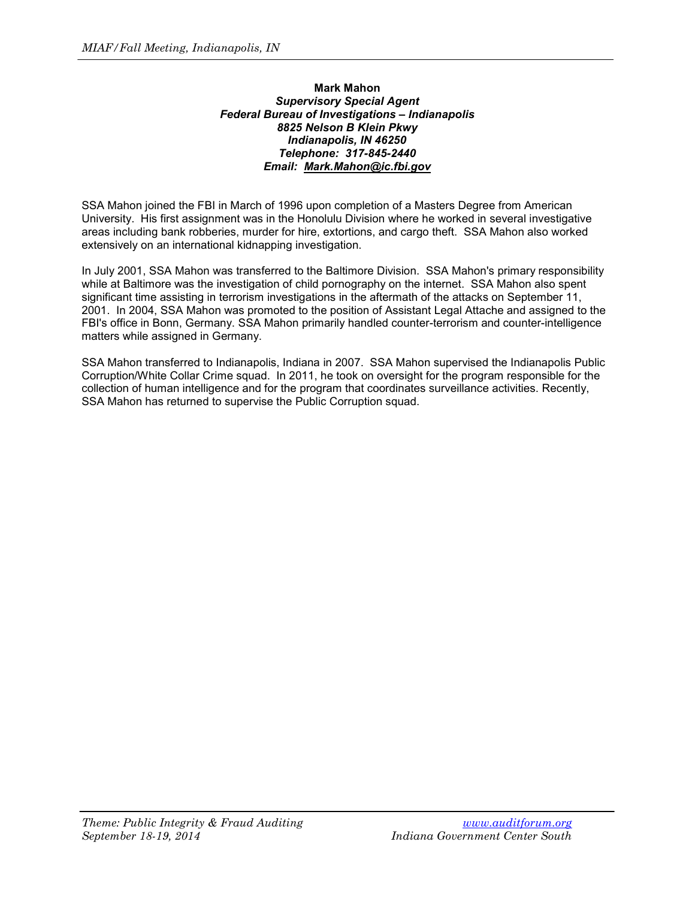## **Mark Mahon** *Supervisory Special Agent Federal Bureau of Investigations – Indianapolis 8825 Nelson B Klein Pkwy Indianapolis, IN 46250 Telephone: 317-845-2440 Email: [Mark.Mahon@ic.fbi.gov](mailto:Mark.Mahon@ic.fbi.gov)*

SSA Mahon joined the FBI in March of 1996 upon completion of a Masters Degree from American University. His first assignment was in the Honolulu Division where he worked in several investigative areas including bank robberies, murder for hire, extortions, and cargo theft. SSA Mahon also worked extensively on an international kidnapping investigation.

In July 2001, SSA Mahon was transferred to the Baltimore Division. SSA Mahon's primary responsibility while at Baltimore was the investigation of child pornography on the internet. SSA Mahon also spent significant time assisting in terrorism investigations in the aftermath of the attacks on September 11, 2001. In 2004, SSA Mahon was promoted to the position of Assistant Legal Attache and assigned to the FBI's office in Bonn, Germany. SSA Mahon primarily handled counter-terrorism and counter-intelligence matters while assigned in Germany.

SSA Mahon transferred to Indianapolis, Indiana in 2007. SSA Mahon supervised the Indianapolis Public Corruption/White Collar Crime squad. In 2011, he took on oversight for the program responsible for the collection of human intelligence and for the program that coordinates surveillance activities. Recently, SSA Mahon has returned to supervise the Public Corruption squad.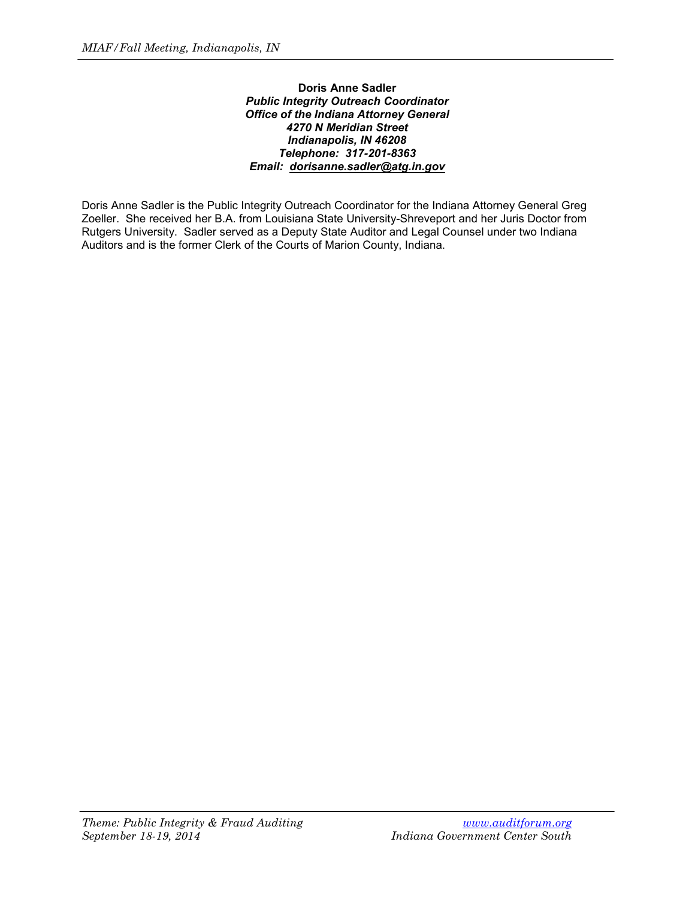## **Doris Anne Sadler** *Public Integrity Outreach Coordinator Office of the Indiana Attorney General 4270 N Meridian Street Indianapolis, IN 46208 Telephone: 317-201-8363 Email: [dorisanne.sadler@atg.in.gov](mailto:dorisanne.sadler@atg.in.gov)*

Doris Anne Sadler is the Public Integrity Outreach Coordinator for the Indiana Attorney General Greg Zoeller. She received her B.A. from Louisiana State University-Shreveport and her Juris Doctor from Rutgers University. Sadler served as a Deputy State Auditor and Legal Counsel under two Indiana Auditors and is the former Clerk of the Courts of Marion County, Indiana.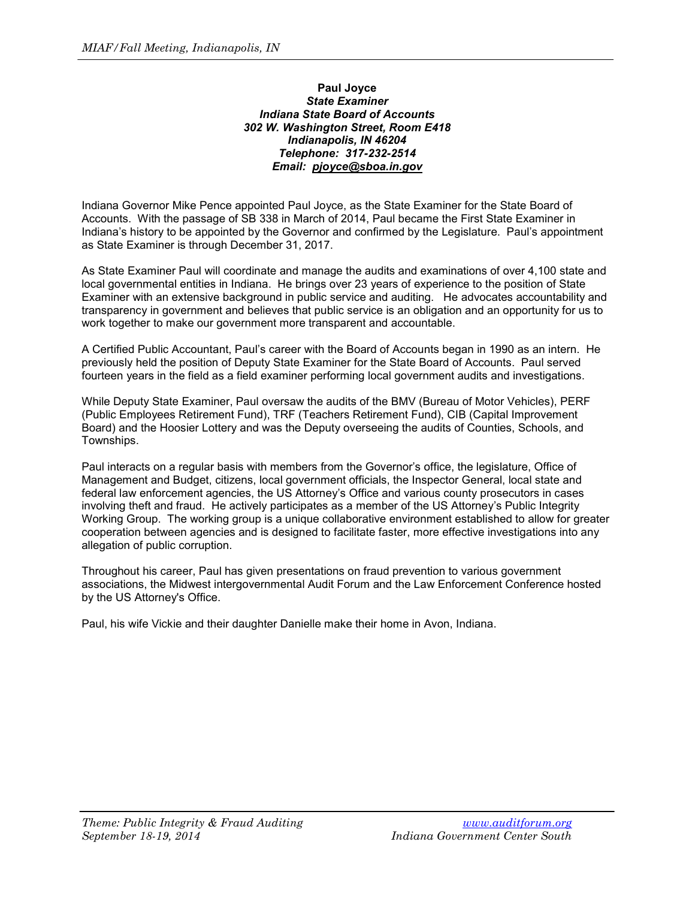## **Paul Joyce** *State Examiner Indiana State Board of Accounts 302 W. Washington Street, Room E418 Indianapolis, IN 46204 Telephone: 317-232-2514 Email: [pjoyce@sboa.in.gov](mailto:pjoyce@sboa.in.gov)*

Indiana Governor Mike Pence appointed Paul Joyce, as the State Examiner for the State Board of Accounts. With the passage of SB 338 in March of 2014, Paul became the First State Examiner in Indiana's history to be appointed by the Governor and confirmed by the Legislature. Paul's appointment as State Examiner is through December 31, 2017.

As State Examiner Paul will coordinate and manage the audits and examinations of over 4,100 state and local governmental entities in Indiana. He brings over 23 years of experience to the position of State Examiner with an extensive background in public service and auditing. He advocates accountability and transparency in government and believes that public service is an obligation and an opportunity for us to work together to make our government more transparent and accountable.

A Certified Public Accountant, Paul's career with the Board of Accounts began in 1990 as an intern. He previously held the position of Deputy State Examiner for the State Board of Accounts. Paul served fourteen years in the field as a field examiner performing local government audits and investigations.

While Deputy State Examiner, Paul oversaw the audits of the BMV (Bureau of Motor Vehicles), PERF (Public Employees Retirement Fund), TRF (Teachers Retirement Fund), CIB (Capital Improvement Board) and the Hoosier Lottery and was the Deputy overseeing the audits of Counties, Schools, and Townships.

Paul interacts on a regular basis with members from the Governor's office, the legislature, Office of Management and Budget, citizens, local government officials, the Inspector General, local state and federal law enforcement agencies, the US Attorney's Office and various county prosecutors in cases involving theft and fraud. He actively participates as a member of the US Attorney's Public Integrity Working Group. The working group is a unique collaborative environment established to allow for greater cooperation between agencies and is designed to facilitate faster, more effective investigations into any allegation of public corruption.

Throughout his career, Paul has given presentations on fraud prevention to various government associations, the Midwest intergovernmental Audit Forum and the Law Enforcement Conference hosted by the US Attorney's Office.

Paul, his wife Vickie and their daughter Danielle make their home in Avon, Indiana.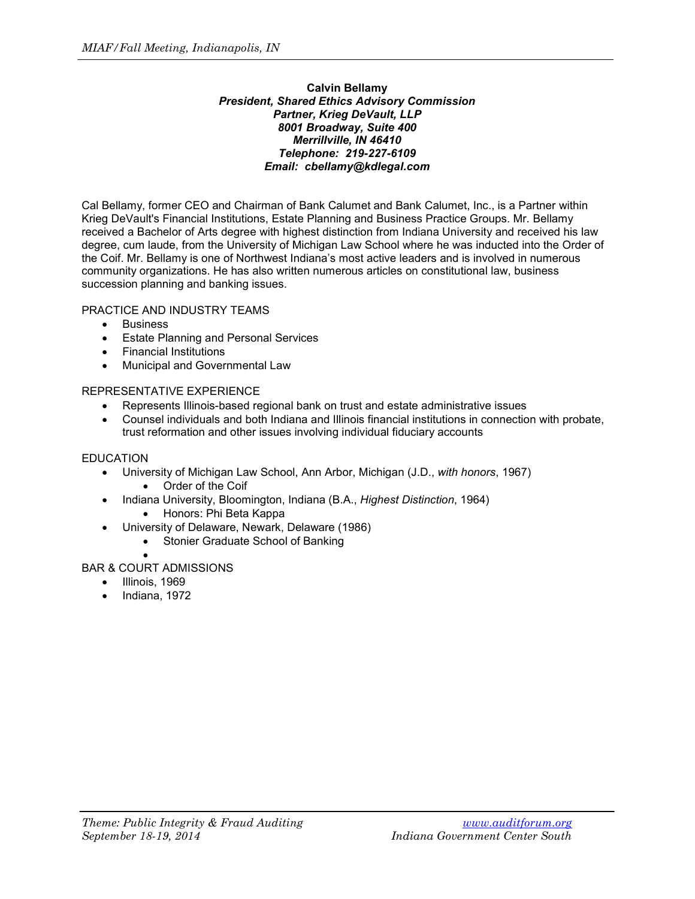## **Calvin Bellamy** *President, Shared Ethics Advisory Commission Partner, Krieg DeVault, LLP 8001 Broadway, Suite 400 Merrillville, IN 46410 Telephone: 219-227-6109 Email: cbellamy@kdlegal.com*

Cal Bellamy, former CEO and Chairman of Bank Calumet and Bank Calumet, Inc., is a Partner within Krieg DeVault's Financial Institutions, Estate Planning and Business Practice Groups. Mr. Bellamy received a Bachelor of Arts degree with highest distinction from Indiana University and received his law degree, cum laude, from the University of Michigan Law School where he was inducted into the Order of the Coif. Mr. Bellamy is one of Northwest Indiana's most active leaders and is involved in numerous community organizations. He has also written numerous articles on constitutional law, business succession planning and banking issues.

# PRACTICE AND INDUSTRY TEAMS

- Business
- Estate Planning and Personal Services
- Financial Institutions
- Municipal and Governmental Law

# REPRESENTATIVE EXPERIENCE

- Represents Illinois-based regional bank on trust and estate administrative issues
- Counsel individuals and both Indiana and Illinois financial institutions in connection with probate, trust reformation and other issues involving individual fiduciary accounts

# EDUCATION

- University of Michigan Law School, Ann Arbor, Michigan (J.D., *with honors*, 1967)
	- Order of the Coif
- Indiana University, Bloomington, Indiana (B.A., *Highest Distinction*, 1964)
	- Honors: Phi Beta Kappa
- University of Delaware, Newark, Delaware (1986)
	- Stonier Graduate School of Banking

#### • BAR & COURT ADMISSIONS

- Illinois, 1969
- Indiana, 1972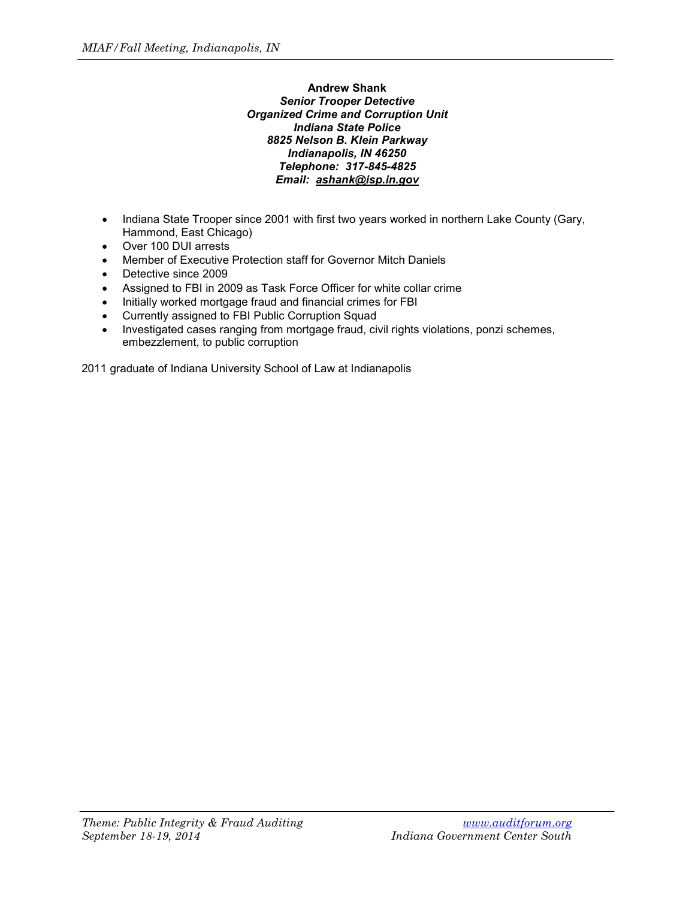## **Andrew Shank** *Senior Trooper Detective Organized Crime and Corruption Unit Indiana State Police 8825 Nelson B. Klein Parkway Indianapolis, IN 46250 Telephone: 317-845-4825 Email: [ashank@isp.in.gov](mailto:ashank@isp.in.gov)*

- Indiana State Trooper since 2001 with first two years worked in northern Lake County (Gary, Hammond, East Chicago)
- Over 100 DUI arrests
- Member of Executive Protection staff for Governor Mitch Daniels
- Detective since 2009
- Assigned to FBI in 2009 as Task Force Officer for white collar crime
- Initially worked mortgage fraud and financial crimes for FBI
- Currently assigned to FBI Public Corruption Squad
- Investigated cases ranging from mortgage fraud, civil rights violations, ponzi schemes, embezzlement, to public corruption

2011 graduate of Indiana University School of Law at Indianapolis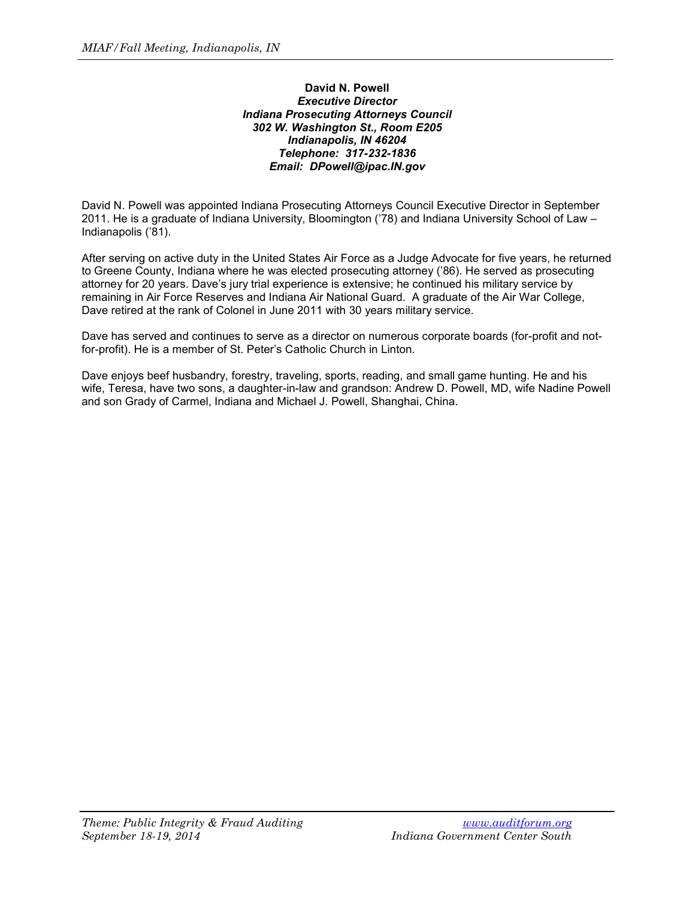## **David N. Powell** *Executive Director Indiana Prosecuting Attorneys Council 302 W. Washington St., Room E205 Indianapolis, IN 46204 Telephone: 317-232-1836 Email: DPowell@ipac.IN.gov*

David N. Powell was appointed Indiana Prosecuting Attorneys Council Executive Director in September 2011. He is a graduate of Indiana University, Bloomington ('78) and Indiana University School of Law – Indianapolis ('81).

After serving on active duty in the United States Air Force as a Judge Advocate for five years, he returned to Greene County, Indiana where he was elected prosecuting attorney ('86). He served as prosecuting attorney for 20 years. Dave's jury trial experience is extensive; he continued his military service by remaining in Air Force Reserves and Indiana Air National Guard. A graduate of the Air War College, Dave retired at the rank of Colonel in June 2011 with 30 years military service.

Dave has served and continues to serve as a director on numerous corporate boards (for-profit and notfor-profit). He is a member of St. Peter's Catholic Church in Linton.

Dave enjoys beef husbandry, forestry, traveling, sports, reading, and small game hunting. He and his wife, Teresa, have two sons, a daughter-in-law and grandson: Andrew D. Powell, MD, wife Nadine Powell and son Grady of Carmel, Indiana and Michael J. Powell, Shanghai, China.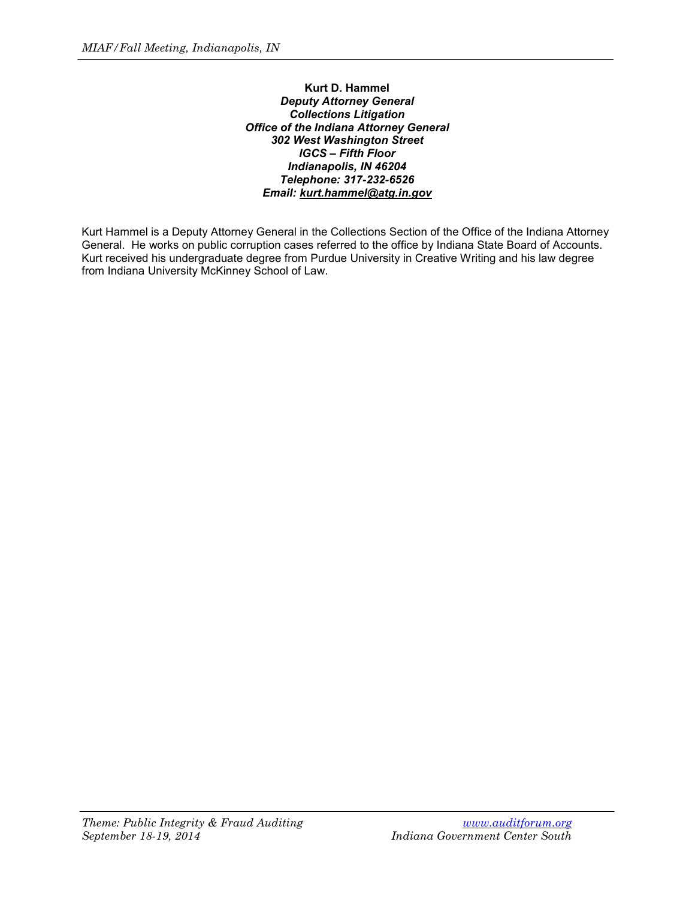**Kurt D. Hammel** *Deputy Attorney General Collections Litigation Office of the Indiana Attorney General 302 West Washington Street IGCS – Fifth Floor Indianapolis, IN 46204 Telephone: 317-232-6526 Email: [kurt.hammel@atg.in.gov](mailto:kurt.hammel@atg.in.gov)*

Kurt Hammel is a Deputy Attorney General in the Collections Section of the Office of the Indiana Attorney General. He works on public corruption cases referred to the office by Indiana State Board of Accounts. Kurt received his undergraduate degree from Purdue University in Creative Writing and his law degree from Indiana University McKinney School of Law.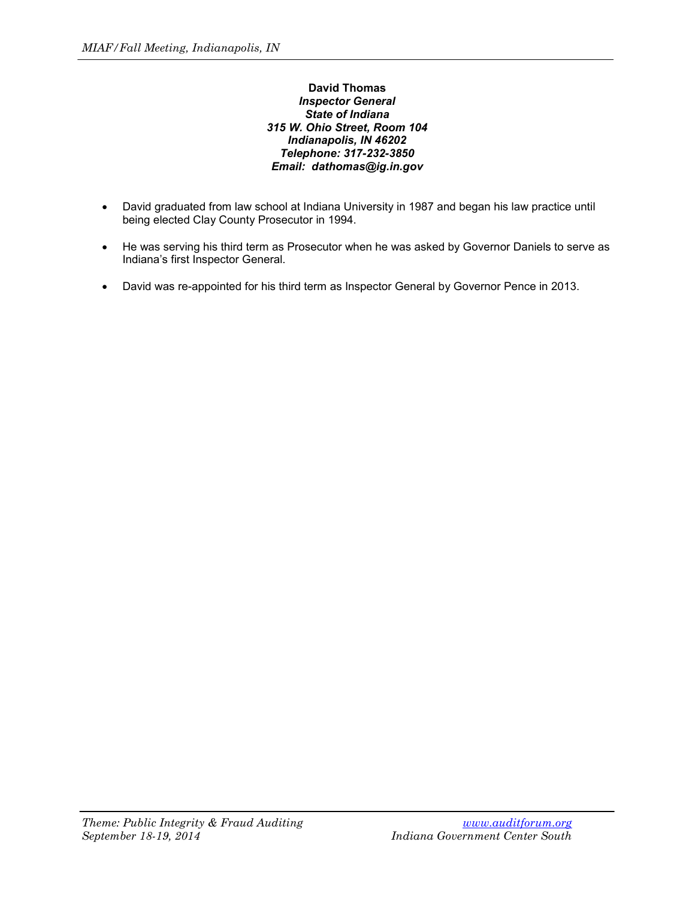## **David Thomas** *Inspector General State of Indiana 315 W. Ohio Street, Room 104 Indianapolis, IN 46202 Telephone: 317-232-3850 Email: dathomas@ig.in.gov*

- David graduated from law school at Indiana University in 1987 and began his law practice until being elected Clay County Prosecutor in 1994.
- He was serving his third term as Prosecutor when he was asked by Governor Daniels to serve as Indiana's first Inspector General.
- David was re-appointed for his third term as Inspector General by Governor Pence in 2013.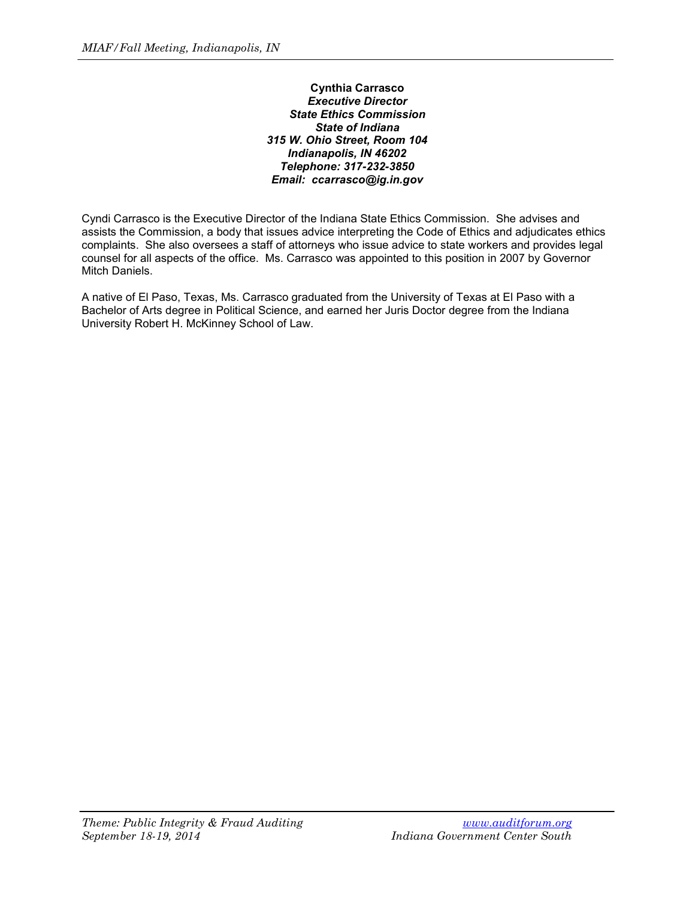### **Cynthia Carrasco** *Executive Director State Ethics Commission State of Indiana 315 W. Ohio Street, Room 104 Indianapolis, IN 46202 Telephone: 317-232-3850 Email: ccarrasco@ig.in.gov*

Cyndi Carrasco is the Executive Director of the Indiana State Ethics Commission. She advises and assists the Commission, a body that issues advice interpreting the Code of Ethics and adjudicates ethics complaints. She also oversees a staff of attorneys who issue advice to state workers and provides legal counsel for all aspects of the office. Ms. Carrasco was appointed to this position in 2007 by Governor Mitch Daniels.

A native of El Paso, Texas, Ms. Carrasco graduated from the University of Texas at El Paso with a Bachelor of Arts degree in Political Science, and earned her Juris Doctor degree from the Indiana University Robert H. McKinney School of Law.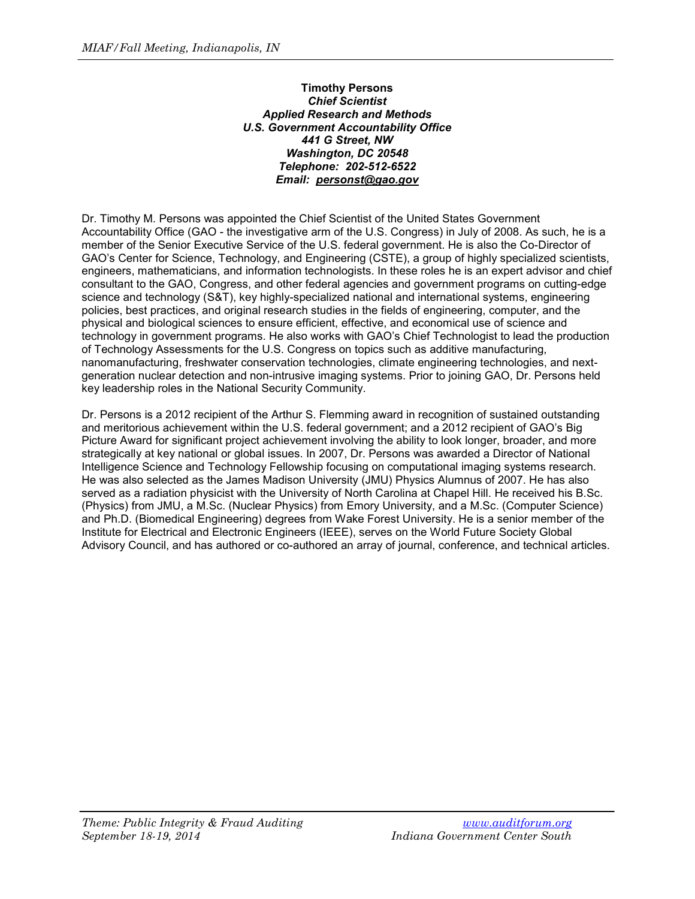## **Timothy Persons** *Chief Scientist Applied Research and Methods U.S. Government Accountability Office 441 G Street, NW Washington, DC 20548 Telephone: 202-512-6522 Email: [personst@gao.gov](mailto:personst@gao.gov)*

Dr. Timothy M. Persons was appointed the Chief Scientist of the United States Government Accountability Office (GAO - the investigative arm of the U.S. Congress) in July of 2008. As such, he is a member of the Senior Executive Service of the U.S. federal government. He is also the Co-Director of GAO's Center for Science, Technology, and Engineering (CSTE), a group of highly specialized scientists, engineers, mathematicians, and information technologists. In these roles he is an expert advisor and chief consultant to the GAO, Congress, and other federal agencies and government programs on cutting-edge science and technology (S&T), key highly-specialized national and international systems, engineering policies, best practices, and original research studies in the fields of engineering, computer, and the physical and biological sciences to ensure efficient, effective, and economical use of science and technology in government programs. He also works with GAO's Chief Technologist to lead the production of Technology Assessments for the U.S. Congress on topics such as additive manufacturing, nanomanufacturing, freshwater conservation technologies, climate engineering technologies, and nextgeneration nuclear detection and non-intrusive imaging systems. Prior to joining GAO, Dr. Persons held key leadership roles in the National Security Community.

Dr. Persons is a 2012 recipient of the Arthur S. Flemming award in recognition of sustained outstanding and meritorious achievement within the U.S. federal government; and a 2012 recipient of GAO's Big Picture Award for significant project achievement involving the ability to look longer, broader, and more strategically at key national or global issues. In 2007, Dr. Persons was awarded a Director of National Intelligence Science and Technology Fellowship focusing on computational imaging systems research. He was also selected as the James Madison University (JMU) Physics Alumnus of 2007. He has also served as a radiation physicist with the University of North Carolina at Chapel Hill. He received his B.Sc. (Physics) from JMU, a M.Sc. (Nuclear Physics) from Emory University, and a M.Sc. (Computer Science) and Ph.D. (Biomedical Engineering) degrees from Wake Forest University. He is a senior member of the Institute for Electrical and Electronic Engineers (IEEE), serves on the World Future Society Global Advisory Council, and has authored or co-authored an array of journal, conference, and technical articles.